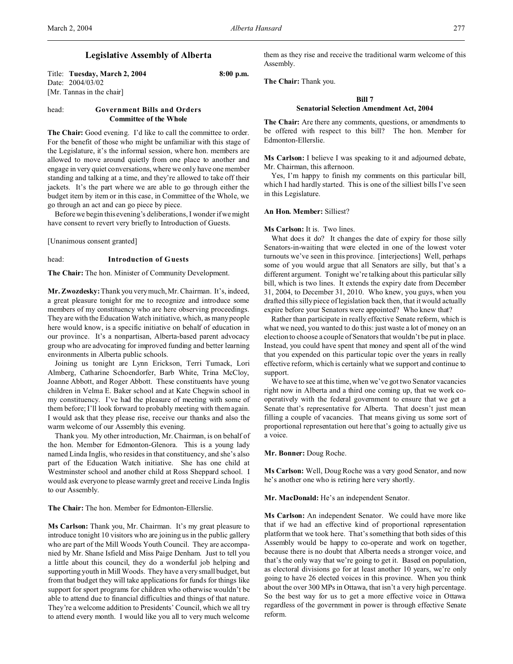# **Legislative Assembly of Alberta**

Title: **Tuesday, March 2, 2004 8:00 p.m.** Date: 2004/03/02 [Mr. Tannas in the chair]

# head: **Government Bills and Orders Committee of the Whole**

The Chair: Good evening. I'd like to call the committee to order. For the benefit of those who might be unfamiliar with this stage of the Legislature, it's the informal session, where hon. members are allowed to move around quietly from one place to another and engage in very quiet conversations, where we only have one member standing and talking at a time, and they're allowed to take off their jackets. It's the part where we are able to go through either the budget item by item or in this case, in Committee of the Whole, we go through an act and can go piece by piece.

Before we begin this evening's deliberations, I wonder if we might have consent to revert very briefly to Introduction of Guests.

[Unanimous consent granted]

### head: **Introduction of Guests**

**The Chair:** The hon. Minister of Community Development.

**Mr. Zwozdesky:** Thank you very much, Mr. Chairman. It's, indeed, a great pleasure tonight for me to recognize and introduce some members of my constituency who are here observing proceedings. They are with the Education Watch initiative, which, as many people here would know, is a specific initiative on behalf of education in our province. It's a nonpartisan, Alberta-based parent advocacy group who are advocating for improved funding and better learning environments in Alberta public schools.

Joining us tonight are Lynn Erickson, Terri Tumack, Lori Almberg, Catharine Schoendorfer, Barb White, Trina McCloy, Joanne Abbott, and Roger Abbott. These constituents have young children in Velma E. Baker school and at Kate Chegwin school in my constituency. I've had the pleasure of meeting with some of them before; I'll look forward to probably meeting with them again. I would ask that they please rise, receive our thanks and also the warm welcome of our Assembly this evening.

Thank you. My other introduction, Mr. Chairman, is on behalf of the hon. Member for Edmonton-Glenora. This is a young lady named Linda Inglis, who resides in that constituency, and she's also part of the Education Watch initiative. She has one child at Westminster school and another child at Ross Sheppard school. I would ask everyone to please warmly greet and receive Linda Inglis to our Assembly.

**The Chair:** The hon. Member for Edmonton-Ellerslie.

**Ms Carlson:** Thank you, Mr. Chairman. It's my great pleasure to introduce tonight 10 visitors who are joining us in the public gallery who are part of the Mill Woods Youth Council. They are accompanied by Mr. Shane Isfield and Miss Paige Denham. Just to tell you a little about this council, they do a wonderful job helping and supporting youth in Mill Woods. They have a very small budget, but from that budget they will take applications for funds for things like support for sport programs for children who otherwise wouldn't be able to attend due to financial difficulties and things of that nature. They're a welcome addition to Presidents' Council, which we all try to attend every month. I would like you all to very much welcome

them as they rise and receive the traditional warm welcome of this Assembly.

**The Chair:** Thank you.

#### **Bill 7**

### **Senatorial Selection Amendment Act, 2004**

**The Chair:** Are there any comments, questions, or amendments to be offered with respect to this bill? The hon. Member for Edmonton-Ellerslie.

**Ms Carlson:** I believe I was speaking to it and adjourned debate, Mr. Chairman, this afternoon.

Yes, I'm happy to finish my comments on this particular bill, which I had hardly started. This is one of the silliest bills I've seen in this Legislature.

### **An Hon. Member:** Silliest?

### **Ms Carlson:** It is. Two lines.

What does it do? It changes the date of expiry for those silly Senators-in-waiting that were elected in one of the lowest voter turnouts we've seen in this province. [interjections] Well, perhaps some of you would argue that all Senators are silly, but that's a different argument. Tonight we're talking about this particular silly bill, which is two lines. It extends the expiry date from December 31, 2004, to December 31, 2010. Who knew, you guys, when you drafted this silly piece of legislation back then, that it would actually expire before your Senators were appointed? Who knew that?

Rather than participate in really effective Senate reform, which is what we need, you wanted to do this: just waste a lot of money on an election to choose a couple of Senators that wouldn't be put in place. Instead, you could have spent that money and spent all of the wind that you expended on this particular topic over the years in really effective reform, which is certainly what we support and continue to support.

We have to see at this time, when we've got two Senator vacancies right now in Alberta and a third one coming up, that we work cooperatively with the federal government to ensure that we get a Senate that's representative for Alberta. That doesn't just mean filling a couple of vacancies. That means giving us some sort of proportional representation out here that's going to actually give us a voice.

**Mr. Bonner:** Doug Roche.

**Ms Carlson:** Well, Doug Roche was a very good Senator, and now he's another one who is retiring here very shortly.

### **Mr. MacDonald:** He's an independent Senator.

**Ms Carlson:** An independent Senator. We could have more like that if we had an effective kind of proportional representation platform that we took here. That's something that both sides of this Assembly would be happy to co-operate and work on together, because there is no doubt that Alberta needs a stronger voice, and that's the only way that we're going to get it. Based on population, as electoral divisions go for at least another 10 years, we're only going to have 26 elected voices in this province. When you think about the over 300 MPs in Ottawa, that isn't a very high percentage. So the best way for us to get a more effective voice in Ottawa regardless of the government in power is through effective Senate reform.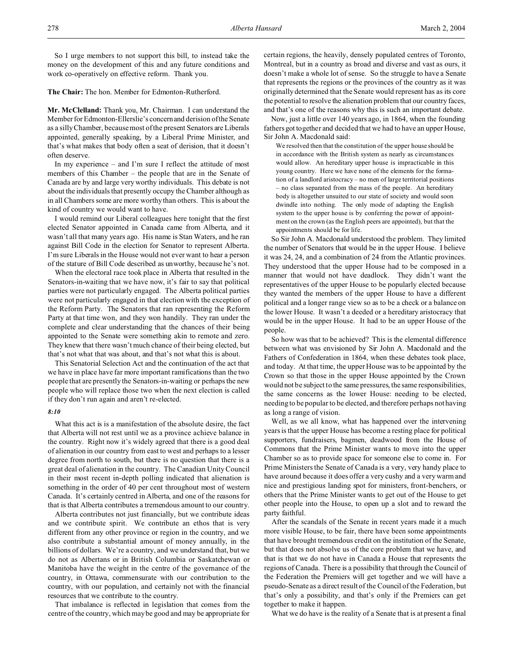So I urge members to not support this bill, to instead take the money on the development of this and any future conditions and work co-operatively on effective reform. Thank you.

**The Chair:** The hon. Member for Edmonton-Rutherford.

**Mr. McClelland:** Thank you, Mr. Chairman. I can understand the Member for Edmonton-Ellerslie's concernand derision of the Senate as a silly Chamber, because most of the present Senators are Liberals appointed, generally speaking, by a Liberal Prime Minister, and that's what makes that body often a seat of derision, that it doesn't often deserve.

In my experience – and I'm sure I reflect the attitude of most members of this Chamber – the people that are in the Senate of Canada are by and large very worthy individuals. This debate is not about the individuals that presently occupy the Chamber although as in all Chambers some are more worthy than others. This is about the kind of country we would want to have.

I would remind our Liberal colleagues here tonight that the first elected Senator appointed in Canada came from Alberta, and it wasn't all that many years ago. His name is Stan Waters, and he ran against Bill Code in the election for Senator to represent Alberta. I'm sure Liberals in the House would not ever want to hear a person of the stature of Bill Code described as unworthy, because he's not.

When the electoral race took place in Alberta that resulted in the Senators-in-waiting that we have now, it's fair to say that political parties were not particularly engaged. The Alberta political parties were not particularly engaged in that election with the exception of the Reform Party. The Senators that ran representing the Reform Party at that time won, and they won handily. They ran under the complete and clear understanding that the chances of their being appointed to the Senate were something akin to remote and zero. They knew that there wasn't much chance of their being elected, but that's not what that was about, and that's not what this is about.

This Senatorial Selection Act and the continuation of the act that we have in place have far more important ramifications than the two people that are presently the Senators-in-waiting or perhaps the new people who will replace those two when the next election is called if they don't run again and aren't re-elected.

### *8:10*

What this act is is a manifestation of the absolute desire, the fact that Alberta will not rest until we as a province achieve balance in the country. Right now it's widely agreed that there is a good deal of alienation in our country from east to west and perhaps to a lesser degree from north to south, but there is no question that there is a great deal of alienation in the country. The Canadian Unity Council in their most recent in-depth polling indicated that alienation is something in the order of 40 per cent throughout most of western Canada. It's certainly centred in Alberta, and one of the reasons for that is that Alberta contributes a tremendous amount to our country.

Alberta contributes not just financially, but we contribute ideas and we contribute spirit. We contribute an ethos that is very different from any other province or region in the country, and we also contribute a substantial amount of money annually, in the billions of dollars. We're a country, and we understand that, but we do not as Albertans or in British Columbia or Saskatchewan or Manitoba have the weight in the centre of the governance of the country, in Ottawa, commensurate with our contribution to the country, with our population, and certainly not with the financial resources that we contribute to the country.

That imbalance is reflected in legislation that comes from the centre of the country, which may be good and may be appropriate for certain regions, the heavily, densely populated centres of Toronto, Montreal, but in a country as broad and diverse and vast as ours, it doesn't make a whole lot of sense. So the struggle to have a Senate that represents the regions or the provinces of the country as it was originally determined that the Senate would represent has as its core the potential to resolve the alienation problem that our country faces, and that's one of the reasons why this is such an important debate.

Now, just a little over 140 years ago, in 1864, when the founding fathers got together and decided that we had to have an upper House, Sir John A. Macdonald said:

We resolved then that the constitution of the upper house should be in accordance with the British system as nearly as circumstances would allow. An hereditary upper house is impracticable in this young country. Here we have none of the elements for the formation of a landlord aristocracy – no men of large territorial positions – no class separated from the mass of the people. An hereditary body is altogether unsuited to our state of society and would soon dwindle into nothing. The only mode of adapting the English system to the upper house is by conferring the power of appointment on the crown (as the English peers are appointed), but that the appointments should be for life.

So Sir John A. Macdonald understood the problem. They limited the number of Senators that would be in the upper House. I believe it was 24, 24, and a combination of 24 from the Atlantic provinces. They understood that the upper House had to be composed in a manner that would not have deadlock. They didn't want the representatives of the upper House to be popularly elected because they wanted the members of the upper House to have a different political and a longer range view so as to be a check or a balance on the lower House. It wasn't a deeded or a hereditary aristocracy that would be in the upper House. It had to be an upper House of the people.

So how was that to be achieved? This is the elemental difference between what was envisioned by Sir John A. Macdonald and the Fathers of Confederation in 1864, when these debates took place, and today. At that time, the upper House was to be appointed by the Crown so that those in the upper House appointed by the Crown would not be subject to the same pressures, the same responsibilities, the same concerns as the lower House: needing to be elected, needing to be popular to be elected, and therefore perhaps not having as long a range of vision.

Well, as we all know, what has happened over the intervening years is that the upper House has become a resting place for political supporters, fundraisers, bagmen, deadwood from the House of Commons that the Prime Minister wants to move into the upper Chamber so as to provide space for someone else to come in. For Prime Ministers the Senate of Canada is a very, very handy place to have around because it does offer a very cushy and a very warm and nice and prestigious landing spot for ministers, front-benchers, or others that the Prime Minister wants to get out of the House to get other people into the House, to open up a slot and to reward the party faithful.

After the scandals of the Senate in recent years made it a much more visible House, to be fair, there have been some appointments that have brought tremendous credit on the institution of the Senate, but that does not absolve us of the core problem that we have, and that is that we do not have in Canada a House that represents the regions of Canada. There is a possibility that through the Council of the Federation the Premiers will get together and we will have a pseudo-Senate as a direct result of the Council of the Federation, but that's only a possibility, and that's only if the Premiers can get together to make it happen.

What we do have is the reality of a Senate that is at present a final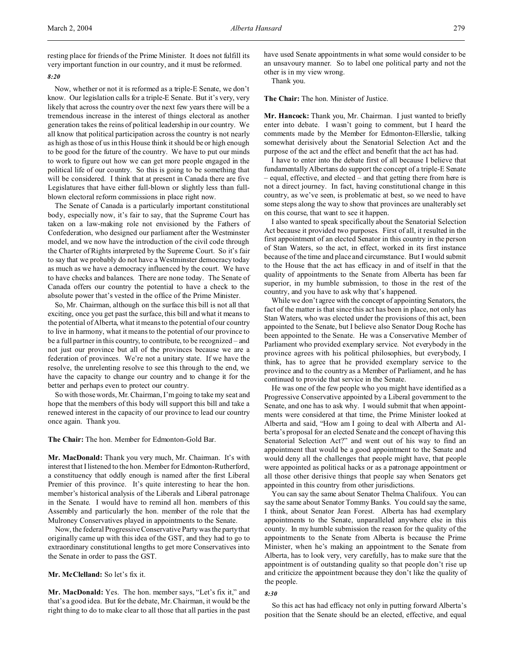## *8:20*

Now, whether or not it is reformed as a triple-E Senate, we don't know. Our legislation calls for a triple-E Senate. But it's very, very likely that across the country over the next few years there will be a tremendous increase in the interest of things electoral as another generation takes the reins of political leadership in our country. We all know that political participation across the country is not nearly as high as those of us in this House think it should be or high enough to be good for the future of the country. We have to put our minds to work to figure out how we can get more people engaged in the political life of our country. So this is going to be something that will be considered. I think that at present in Canada there are five Legislatures that have either full-blown or slightly less than fullblown electoral reform commissions in place right now.

The Senate of Canada is a particularly important constitutional body, especially now, it's fair to say, that the Supreme Court has taken on a law-making role not envisioned by the Fathers of Confederation, who designed our parliament after the Westminster model, and we now have the introduction of the civil code through the Charter of Rights interpreted by the Supreme Court. So it's fair to say that we probably do not have a Westminster democracy today as much as we have a democracy influenced by the court. We have to have checks and balances. There are none today. The Senate of Canada offers our country the potential to have a check to the absolute power that's vested in the office of the Prime Minister.

So, Mr. Chairman, although on the surface this bill is not all that exciting, once you get past the surface, this bill and what it means to the potential of Alberta, what it means to the potential of our country to live in harmony, what it means to the potential of our province to be a full partner in this country, to contribute, to be recognized – and not just our province but all of the provinces because we are a federation of provinces. We're not a unitary state. If we have the resolve, the unrelenting resolve to see this through to the end, we have the capacity to change our country and to change it for the better and perhaps even to protect our country.

So with those words, Mr. Chairman, I'm going to take my seat and hope that the members of this body will support this bill and take a renewed interest in the capacity of our province to lead our country once again. Thank you.

#### **The Chair:** The hon. Member for Edmonton-Gold Bar.

**Mr. MacDonald:** Thank you very much, Mr. Chairman. It's with interest that I listened to the hon. Member for Edmonton-Rutherford, a constituency that oddly enough is named after the first Liberal Premier of this province. It's quite interesting to hear the hon. member's historical analysis of the Liberals and Liberal patronage in the Senate. I would have to remind all hon. members of this Assembly and particularly the hon. member of the role that the Mulroney Conservatives played in appointments to the Senate.

Now, the federal Progressive Conservative Party was the party that originally came up with this idea of the GST, and they had to go to extraordinary constitutional lengths to get more Conservatives into the Senate in order to pass the GST.

### **Mr. McClelland:** So let's fix it.

**Mr. MacDonald:** Yes. The hon. member says, "Let's fix it," and that's a good idea. But for the debate, Mr. Chairman, it would be the right thing to do to make clear to all those that all parties in the past have used Senate appointments in what some would consider to be an unsavoury manner. So to label one political party and not the other is in my view wrong.

Thank you.

**The Chair:** The hon. Minister of Justice.

**Mr. Hancock:** Thank you, Mr. Chairman. I just wanted to briefly enter into debate. I wasn't going to comment, but I heard the comments made by the Member for Edmonton-Ellerslie, talking somewhat derisively about the Senatorial Selection Act and the purpose of the act and the effect and benefit that the act has had.

I have to enter into the debate first of all because I believe that fundamentally Albertans do support the concept of a triple-E Senate – equal, effective, and elected – and that getting there from here is not a direct journey. In fact, having constitutional change in this country, as we've seen, is problematic at best, so we need to have some steps along the way to show that provinces are unalterably set on this course, that want to see it happen.

I also wanted to speak specifically about the Senatorial Selection Act because it provided two purposes. First of all, it resulted in the first appointment of an elected Senator in this country in the person of Stan Waters, so the act, in effect, worked in its first instance because of the time and place and circumstance. But I would submit to the House that the act has efficacy in and of itself in that the quality of appointments to the Senate from Alberta has been far superior, in my humble submission, to those in the rest of the country, and you have to ask why that's happened.

While we don't agree with the concept of appointing Senators, the fact of the matter is that since this act has been in place, not only has Stan Waters, who was elected under the provisions of this act, been appointed to the Senate, but I believe also Senator Doug Roche has been appointed to the Senate. He was a Conservative Member of Parliament who provided exemplary service. Not everybody in the province agrees with his political philosophies, but everybody, I think, has to agree that he provided exemplary service to the province and to the country as a Member of Parliament, and he has continued to provide that service in the Senate.

He was one of the few people who you might have identified as a Progressive Conservative appointed by a Liberal government to the Senate, and one has to ask why. I would submit that when appointments were considered at that time, the Prime Minister looked at Alberta and said, "How am I going to deal with Alberta and Alberta's proposal for an elected Senate and the concept of having this Senatorial Selection Act?" and went out of his way to find an appointment that would be a good appointment to the Senate and would deny all the challenges that people might have, that people were appointed as political hacks or as a patronage appointment or all those other derisive things that people say when Senators get appointed in this country from other jurisdictions.

You can say the same about Senator Thelma Chalifoux. You can say the same about Senator Tommy Banks. You could say the same, I think, about Senator Jean Forest. Alberta has had exemplary appointments to the Senate, unparalleled anywhere else in this county. In my humble submission the reason for the quality of the appointments to the Senate from Alberta is because the Prime Minister, when he's making an appointment to the Senate from Alberta, has to look very, very carefully, has to make sure that the appointment is of outstanding quality so that people don't rise up and criticize the appointment because they don't like the quality of the people.

## *8:30*

So this act has had efficacy not only in putting forward Alberta's position that the Senate should be an elected, effective, and equal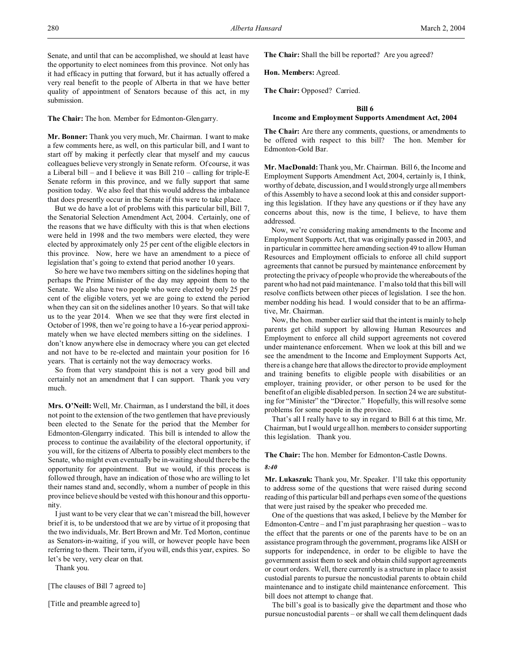Senate, and until that can be accomplished, we should at least have the opportunity to elect nominees from this province. Not only has it had efficacy in putting that forward, but it has actually offered a very real benefit to the people of Alberta in that we have better quality of appointment of Senators because of this act, in my submission.

**The Chair:** The hon. Member for Edmonton-Glengarry.

**Mr. Bonner:** Thank you very much, Mr. Chairman. I want to make a few comments here, as well, on this particular bill, and I want to start off by making it perfectly clear that myself and my caucus colleagues believe very strongly in Senate reform. Of course, it was a Liberal bill – and I believe it was Bill  $210$  – calling for triple-E Senate reform in this province, and we fully support that same position today. We also feel that this would address the imbalance that does presently occur in the Senate if this were to take place.

But we do have a lot of problems with this particular bill, Bill 7, the Senatorial Selection Amendment Act, 2004. Certainly, one of the reasons that we have difficulty with this is that when elections were held in 1998 and the two members were elected, they were elected by approximately only 25 per cent of the eligible electors in this province. Now, here we have an amendment to a piece of legislation that's going to extend that period another 10 years.

So here we have two members sitting on the sidelines hoping that perhaps the Prime Minister of the day may appoint them to the Senate. We also have two people who were elected by only 25 per cent of the eligible voters, yet we are going to extend the period when they can sit on the sidelines another 10 years. So that will take us to the year 2014. When we see that they were first elected in October of 1998, then we're going to have a 16-year period approximately when we have elected members sitting on the sidelines. I don't know anywhere else in democracy where you can get elected and not have to be re-elected and maintain your position for 16 years. That is certainly not the way democracy works.

So from that very standpoint this is not a very good bill and certainly not an amendment that I can support. Thank you very much.

**Mrs. O'Neill:** Well, Mr. Chairman, as I understand the bill, it does not point to the extension of the two gentlemen that have previously been elected to the Senate for the period that the Member for Edmonton-Glengarry indicated. This bill is intended to allow the process to continue the availability of the electoral opportunity, if you will, for the citizens of Alberta to possibly elect members to the Senate, who might even eventually be in-waiting should there be the opportunity for appointment. But we would, if this process is followed through, have an indication of those who are willing to let their names stand and, secondly, whom a number of people in this province believe should be vested with this honour and this opportunity.

I just want to be very clear that we can't misread the bill, however brief it is, to be understood that we are by virtue of it proposing that the two individuals, Mr. Bert Brown and Mr. Ted Morton, continue as Senators-in-waiting, if you will, or however people have been referring to them. Their term, if you will, ends this year, expires. So let's be very, very clear on that.

Thank you.

[The clauses of Bill 7 agreed to]

[Title and preamble agreed to]

**The Chair:** Shall the bill be reported? Are you agreed?

**Hon. Members:** Agreed.

**The Chair:** Opposed? Carried.

#### **Bill 6**

### **Income and Employment Supports Amendment Act, 2004**

**The Chair:** Are there any comments, questions, or amendments to be offered with respect to this bill? The hon. Member for Edmonton-Gold Bar.

**Mr. MacDonald:** Thank you, Mr. Chairman. Bill 6, the Income and Employment Supports Amendment Act, 2004, certainly is, I think, worthy of debate, discussion, and I would strongly urge all members of this Assembly to have a second look at this and consider supporting this legislation. If they have any questions or if they have any concerns about this, now is the time, I believe, to have them addressed.

Now, we're considering making amendments to the Income and Employment Supports Act, that was originally passed in 2003, and in particular in committee here amending section 49 to allow Human Resources and Employment officials to enforce all child support agreements that cannot be pursued by maintenance enforcement by protecting the privacy of people who provide the whereabouts of the parent who had not paid maintenance. I'm also told that this bill will resolve conflicts between other pieces of legislation. I see the hon. member nodding his head. I would consider that to be an affirmative, Mr. Chairman.

Now, the hon. member earlier said that the intent is mainly to help parents get child support by allowing Human Resources and Employment to enforce all child support agreements not covered under maintenance enforcement. When we look at this bill and we see the amendment to the Income and Employment Supports Act, there is a change here that allows the director to provide employment and training benefits to eligible people with disabilities or an employer, training provider, or other person to be used for the benefit of an eligible disabled person. In section 24 we are substituting for "Minister" the "Director." Hopefully, this will resolve some problems for some people in the province.

That's all I really have to say in regard to Bill 6 at this time, Mr. Chairman, but I would urge all hon. members to consider supporting this legislation. Thank you.

### **The Chair:** The hon. Member for Edmonton-Castle Downs.

#### *8:40*

**Mr. Lukaszuk:** Thank you, Mr. Speaker. I'll take this opportunity to address some of the questions that were raised during second reading of this particular bill and perhaps even some of the questions that were just raised by the speaker who preceded me.

One of the questions that was asked, I believe by the Member for Edmonton-Centre – and I'm just paraphrasing her question – was to the effect that the parents or one of the parents have to be on an assistance program through the government, programs like AISH or supports for independence, in order to be eligible to have the government assist them to seek and obtain child support agreements or court orders. Well, there currently is a structure in place to assist custodial parents to pursue the noncustodial parents to obtain child maintenance and to instigate child maintenance enforcement. This bill does not attempt to change that.

The bill's goal is to basically give the department and those who pursue noncustodial parents – or shall we call them delinquent dads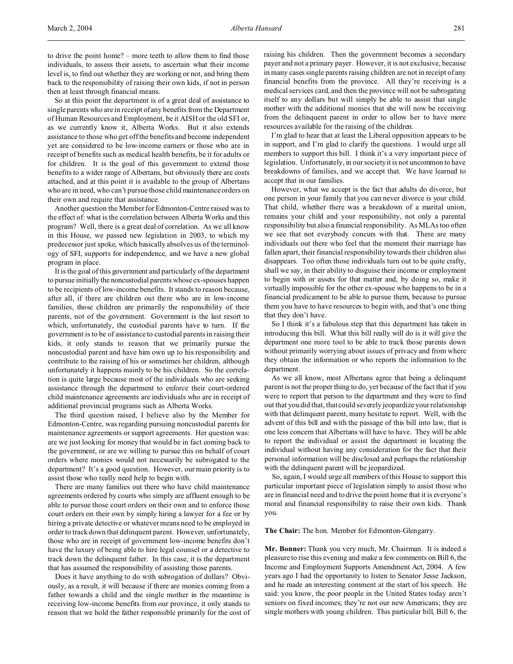to drive the point home? – more teeth to allow them to find those individuals, to assess their assets, to ascertain what their income level is, to find out whether they are working or not, and bring them back to the responsibility of raising their own kids, if not in person then at least through financial means.

So at this point the department is of a great deal of assistance to single parents who are in receipt of any benefits from the Department of Human Resources and Employment, be it AISH or the old SFI or, as we currently know it, Alberta Works. But it also extends assistance to those who get off the benefits and become independent yet are considered to be low-income earners or those who are in receipt of benefits such as medical health benefits, be it for adults or for children. It is the goal of this government to extend those benefits to a wider range of Albertans, but obviously there are costs attached, and at this point it is available to the group of Albertans who are in need, who can't pursue those child maintenance orders on their own and require that assistance.

Another question the Member for Edmonton-Centre raised was to the effect of: what is the correlation between Alberta Works and this program? Well, there is a great deal of correlation. As we all know in this House, we passed new legislation in 2003, to which my predecessor just spoke, which basically absolves us of the terminology of SFI, supports for independence, and we have a new global program in place.

It is the goal of this government and particularly of the department to pursue initially the noncustodial parents whose ex-spouses happen to be recipients of low-income benefits. It stands to reason because, after all, if there are children out there who are in low-income families, those children are primarily the responsibility of their parents, not of the government. Government is the last resort to which, unfortunately, the custodial parents have to turn. If the government is to be of assistance to custodial parents in raising their kids, it only stands to reason that we primarily pursue the noncustodial parent and have him own up to his responsibility and contribute to the raising of his or sometimes her children, although unfortunately it happens mainly to be his children. So the correlation is quite large because most of the individuals who are seeking assistance through the department to enforce their court-ordered child maintenance agreements are individuals who are in receipt of additional provincial programs such as Alberta Works.

The third question raised, I believe also by the Member for Edmonton-Centre, was regarding pursuing noncustodial parents for maintenance agreements or support agreements. Her question was: are we just looking for money that would be in fact coming back to the government, or are we willing to pursue this on behalf of court orders where monies would not necessarily be subrogated to the department? It's a good question. However, our main priority is to assist those who really need help to begin with.

There are many families out there who have child maintenance agreements ordered by courts who simply are affluent enough to be able to pursue those court orders on their own and to enforce those court orders on their own by simply hiring a lawyer for a fee or by hiring a private detective or whatever means need to be employed in order to track down that delinquent parent. However, unfortunately, those who are in receipt of government low-income benefits don't have the luxury of being able to hire legal counsel or a detective to track down the delinquent father. In this case, it is the department that has assumed the responsibility of assisting those parents.

Does it have anything to do with subrogation of dollars? Obviously, as a result, it will because if there are monies coming from a father towards a child and the single mother in the meantime is receiving low-income benefits from our province, it only stands to reason that we hold the father responsible primarily for the cost of raising his children. Then the government becomes a secondary payer and not a primary payer. However, it is not exclusive, because in many cases single parents raising children are not in receipt of any financial benefits from the province. All they're receiving is a medical services card, and then the province will not be subrogating itself to any dollars but will simply be able to assist that single mother with the additional monies that she will now be receiving from the delinquent parent in order to allow her to have more resources available for the raising of the children.

I'm glad to hear that at least the Liberal opposition appears to be in support, and I'm glad to clarify the questions. I would urge all members to support this bill. I think it's a very important piece of legislation. Unfortunately, in our society it is not uncommon to have breakdowns of families, and we accept that. We have learned to accept that in our families.

However, what we accept is the fact that adults do divorce, but one person in your family that you can never divorce is your child. That child, whether there was a breakdown of a marital union, remains your child and your responsibility, not only a parental responsibility but also a financial responsibility. As MLAs too often we see that not everybody concurs with that. There are many individuals out there who feel that the moment their marriage has fallen apart, their financial responsibility towards their children also disappears. Too often those individuals turn out to be quite crafty, shall we say, in their ability to disguise their income or employment to begin with or assets for that matter and, by doing so, make it virtually impossible for the other ex-spouse who happens to be in a financial predicament to be able to pursue them, because to pursue them you have to have resources to begin with, and that's one thing that they don't have.

So I think it's a fabulous step that this department has taken in introducing this bill. What this bill really will do is it will give the department one more tool to be able to track those parents down without primarily worrying about issues of privacy and from where they obtain the information or who reports the information to the department.

As we all know, most Albertans agree that being a delinquent parent is not the proper thing to do, yet because of the fact that if you were to report that person to the department and they were to find out that you did that, that could severely jeopardize your relationship with that delinquent parent, many hesitate to report. Well, with the advent of this bill and with the passage of this bill into law, that is one less concern that Albertans will have to have. They will be able to report the individual or assist the department in locating the individual without having any consideration for the fact that their personal information will be disclosed and perhaps the relationship with the delinquent parent will be jeopardized.

So, again, I would urge all members of this House to support this particular important piece of legislation simply to assist those who are in financial need and to drive the point home that it is everyone's moral and financial responsibility to raise their own kids. Thank you.

**The Chair:** The hon. Member for Edmonton-Glengarry.

**Mr. Bonner:** Thank you very much, Mr. Chairman. It is indeed a pleasure to rise this evening and make a few comments on Bill 6, the Income and Employment Supports Amendment Act, 2004. A few years ago I had the opportunity to listen to Senator Jesse Jackson, and he made an interesting comment at the start of his speech. He said: you know, the poor people in the United States today aren't seniors on fixed incomes; they're not our new Americans; they are single mothers with young children. This particular bill, Bill 6, the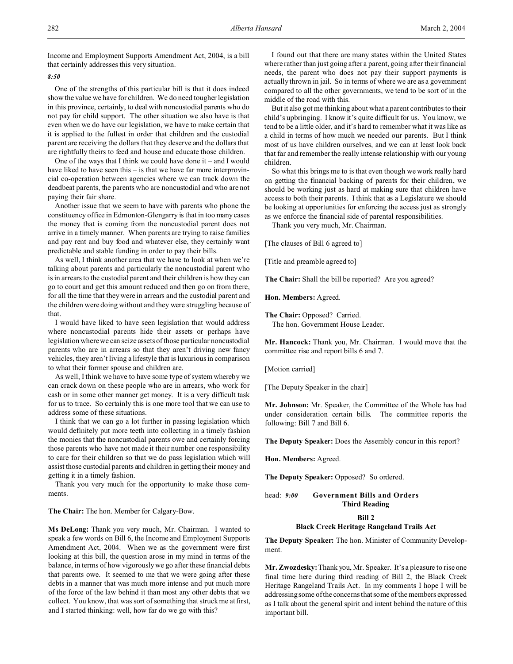Income and Employment Supports Amendment Act, 2004, is a bill that certainly addresses this very situation.

*8:50*

One of the strengths of this particular bill is that it does indeed show the value we have for children. We do need tougher legislation in this province, certainly, to deal with noncustodial parents who do not pay for child support. The other situation we also have is that even when we do have our legislation, we have to make certain that it is applied to the fullest in order that children and the custodial parent are receiving the dollars that they deserve and the dollars that are rightfully theirs to feed and house and educate those children.

One of the ways that I think we could have done it – and I would have liked to have seen this – is that we have far more interprovincial co-operation between agencies where we can track down the deadbeat parents, the parents who are noncustodial and who are not paying their fair share.

Another issue that we seem to have with parents who phone the constituency office in Edmonton-Glengarry is that in too many cases the money that is coming from the noncustodial parent does not arrive in a timely manner. When parents are trying to raise families and pay rent and buy food and whatever else, they certainly want predictable and stable funding in order to pay their bills.

As well, I think another area that we have to look at when we're talking about parents and particularly the noncustodial parent who is in arrears to the custodial parent and their children is how they can go to court and get this amount reduced and then go on from there, for all the time that they were in arrears and the custodial parent and the children were doing without and they were struggling because of that.

I would have liked to have seen legislation that would address where noncustodial parents hide their assets or perhaps have legislation where we can seize assets of those particular noncustodial parents who are in arrears so that they aren't driving new fancy vehicles, they aren't living a lifestyle that is luxurious in comparison to what their former spouse and children are.

As well, I think we have to have some type of system whereby we can crack down on these people who are in arrears, who work for cash or in some other manner get money. It is a very difficult task for us to trace. So certainly this is one more tool that we can use to address some of these situations.

I think that we can go a lot further in passing legislation which would definitely put more teeth into collecting in a timely fashion the monies that the noncustodial parents owe and certainly forcing those parents who have not made it their number one responsibility to care for their children so that we do pass legislation which will assist those custodial parents and children in getting their money and getting it in a timely fashion.

Thank you very much for the opportunity to make those comments.

**The Chair:** The hon. Member for Calgary-Bow.

**Ms DeLong:** Thank you very much, Mr. Chairman. I wanted to speak a few words on Bill 6, the Income and Employment Supports Amendment Act, 2004. When we as the government were first looking at this bill, the question arose in my mind in terms of the balance, in terms of how vigorously we go after these financial debts that parents owe. It seemed to me that we were going after these debts in a manner that was much more intense and put much more of the force of the law behind it than most any other debts that we collect. You know, that was sort of something that struck me at first, and I started thinking: well, how far do we go with this?

I found out that there are many states within the United States where rather than just going after a parent, going after their financial needs, the parent who does not pay their support payments is actually thrown in jail. So in terms of where we are as a government compared to all the other governments, we tend to be sort of in the middle of the road with this.

But it also got me thinking about what a parent contributes to their child's upbringing. I know it's quite difficult for us. You know, we tend to be a little older, and it's hard to remember what it was like as a child in terms of how much we needed our parents. But I think most of us have children ourselves, and we can at least look back that far and remember the really intense relationship with our young children.

So what this brings me to is that even though we work really hard on getting the financial backing of parents for their children, we should be working just as hard at making sure that children have access to both their parents. I think that as a Legislature we should be looking at opportunities for enforcing the access just as strongly as we enforce the financial side of parental responsibilities.

Thank you very much, Mr. Chairman.

[The clauses of Bill 6 agreed to]

[Title and preamble agreed to]

**The Chair:** Shall the bill be reported? Are you agreed?

**Hon. Members:** Agreed.

**The Chair:** Opposed? Carried. The hon. Government House Leader.

**Mr. Hancock:** Thank you, Mr. Chairman. I would move that the committee rise and report bills 6 and 7.

[Motion carried]

[The Deputy Speaker in the chair]

**Mr. Johnson:** Mr. Speaker, the Committee of the Whole has had under consideration certain bills. The committee reports the following: Bill 7 and Bill 6.

**The Deputy Speaker:** Does the Assembly concur in this report?

**Hon. Members:** Agreed.

**The Deputy Speaker:** Opposed? So ordered.

head: *9:00* **Government Bills and Orders Third Reading**

#### **Bill 2**

### **Black Creek Heritage Rangeland Trails Act**

**The Deputy Speaker:** The hon. Minister of Community Development.

**Mr. Zwozdesky:**Thank you, Mr. Speaker. It's a pleasure to rise one final time here during third reading of Bill 2, the Black Creek Heritage Rangeland Trails Act. In my comments I hope I will be addressing some of the concerns that some of the members expressed as I talk about the general spirit and intent behind the nature of this important bill.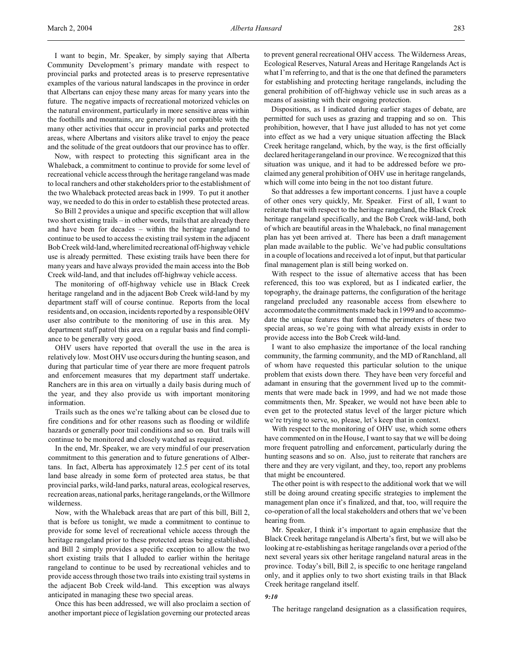I want to begin, Mr. Speaker, by simply saying that Alberta Community Development's primary mandate with respect to provincial parks and protected areas is to preserve representative examples of the various natural landscapes in the province in order that Albertans can enjoy these many areas for many years into the future. The negative impacts of recreational motorized vehicles on the natural environment, particularly in more sensitive areas within the foothills and mountains, are generally not compatible with the many other activities that occur in provincial parks and protected areas, where Albertans and visitors alike travel to enjoy the peace and the solitude of the great outdoors that our province has to offer.

Now, with respect to protecting this significant area in the Whaleback, a commitment to continue to provide for some level of recreational vehicle access through the heritage rangeland was made to local ranchers and other stakeholders prior to the establishment of the two Whaleback protected areas back in 1999. To put it another way, we needed to do this in order to establish these protected areas.

So Bill 2 provides a unique and specific exception that will allow two short existing trails – in other words, trails that are already there and have been for decades – within the heritage rangeland to continue to be used to access the existing trail system in the adjacent Bob Creek wild-land,wherelimited recreational off-highway vehicle use is already permitted. These existing trails have been there for many years and have always provided the main access into the Bob Creek wild-land, and that includes off-highway vehicle access.

The monitoring of off-highway vehicle use in Black Creek heritage rangeland and in the adjacent Bob Creek wild-land by my department staff will of course continue. Reports from the local residents and, on occasion, incidents reported by a responsible OHV user also contribute to the monitoring of use in this area. My department staff patrol this area on a regular basis and find compliance to be generally very good.

OHV users have reported that overall the use in the area is relatively low. Most OHV use occurs during the hunting season, and during that particular time of year there are more frequent patrols and enforcement measures that my department staff undertake. Ranchers are in this area on virtually a daily basis during much of the year, and they also provide us with important monitoring information.

Trails such as the ones we're talking about can be closed due to fire conditions and for other reasons such as flooding or wildlife hazards or generally poor trail conditions and so on. But trails will continue to be monitored and closely watched as required.

In the end, Mr. Speaker, we are very mindful of our preservation commitment to this generation and to future generations of Albertans. In fact, Alberta has approximately 12.5 per cent of its total land base already in some form of protected area status, be that provincial parks, wild-land parks, natural areas, ecological reserves, recreation areas, national parks, heritage rangelands, or the Willmore wilderness.

Now, with the Whaleback areas that are part of this bill, Bill 2, that is before us tonight, we made a commitment to continue to provide for some level of recreational vehicle access through the heritage rangeland prior to these protected areas being established, and Bill 2 simply provides a specific exception to allow the two short existing trails that I alluded to earlier within the heritage rangeland to continue to be used by recreational vehicles and to provide access through those two trails into existing trail systems in the adjacent Bob Creek wild-land. This exception was always anticipated in managing these two special areas.

Once this has been addressed, we will also proclaim a section of another important piece of legislation governing our protected areas

to prevent general recreational OHV access. The Wilderness Areas, Ecological Reserves, Natural Areas and Heritage Rangelands Act is what I'm referring to, and that is the one that defined the parameters for establishing and protecting heritage rangelands, including the general prohibition of off-highway vehicle use in such areas as a means of assisting with their ongoing protection.

Dispositions, as I indicated during earlier stages of debate, are permitted for such uses as grazing and trapping and so on. This prohibition, however, that I have just alluded to has not yet come into effect as we had a very unique situation affecting the Black Creek heritage rangeland, which, by the way, is the first officially declared heritage rangeland in our province. We recognized that this situation was unique, and it had to be addressed before we proclaimed any general prohibition of OHV use in heritage rangelands, which will come into being in the not too distant future.

So that addresses a few important concerns. I just have a couple of other ones very quickly, Mr. Speaker. First of all, I want to reiterate that with respect to the heritage rangeland, the Black Creek heritage rangeland specifically, and the Bob Creek wild-land, both of which are beautiful areas in the Whaleback, no final management plan has yet been arrived at. There has been a draft management plan made available to the public. We've had public consultations in a couple of locations and received a lot of input, but that particular final management plan is still being worked on.

With respect to the issue of alternative access that has been referenced, this too was explored, but as I indicated earlier, the topography, the drainage patterns, the configuration of the heritage rangeland precluded any reasonable access from elsewhere to accommodate the commitments made back in 1999 and to accommodate the unique features that formed the perimeters of these two special areas, so we're going with what already exists in order to provide access into the Bob Creek wild-land.

I want to also emphasize the importance of the local ranching community, the farming community, and the MD of Ranchland, all of whom have requested this particular solution to the unique problem that exists down there. They have been very forceful and adamant in ensuring that the government lived up to the commitments that were made back in 1999, and had we not made those commitments then, Mr. Speaker, we would not have been able to even get to the protected status level of the larger picture which we're trying to serve, so, please, let's keep that in context.

With respect to the monitoring of OHV use, which some others have commented on in the House, I want to say that we will be doing more frequent patrolling and enforcement, particularly during the hunting seasons and so on. Also, just to reiterate that ranchers are there and they are very vigilant, and they, too, report any problems that might be encountered.

The other point is with respect to the additional work that we will still be doing around creating specific strategies to implement the management plan once it's finalized, and that, too, will require the co-operation of all the local stakeholders and others that we've been hearing from.

Mr. Speaker, I think it's important to again emphasize that the Black Creek heritage rangeland is Alberta's first, but we will also be looking at re-establishing as heritage rangelands over a period of the next several years six other heritage rangeland natural areas in the province. Today's bill, Bill 2, is specific to one heritage rangeland only, and it applies only to two short existing trails in that Black Creek heritage rangeland itself.

### *9:10*

The heritage rangeland designation as a classification requires,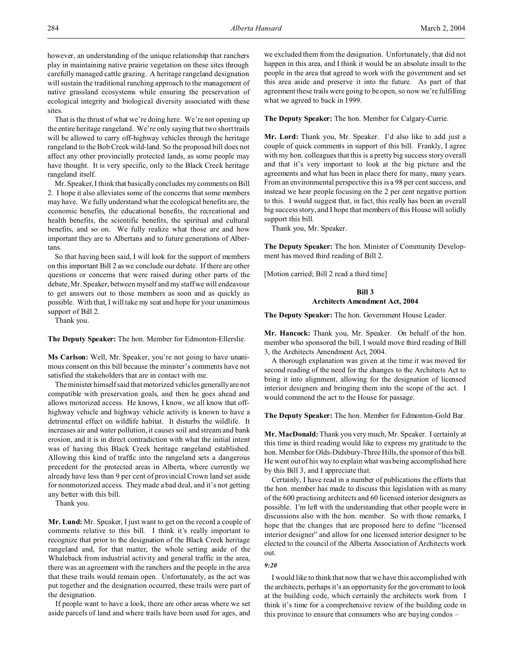however, an understanding of the unique relationship that ranchers play in maintaining native prairie vegetation on these sites through carefully managed cattle grazing. A heritage rangeland designation will sustain the traditional ranching approach to the management of native grassland ecosystems while ensuring the preservation of ecological integrity and biological diversity associated with these sites.

That is the thrust of what we're doing here. We're not opening up the entire heritage rangeland. We're only saying that two short trails will be allowed to carry off-highway vehicles through the heritage rangeland to the Bob Creek wild-land. So the proposed bill does not affect any other provincially protected lands, as some people may have thought. It is very specific, only to the Black Creek heritage rangeland itself.

Mr. Speaker, I think that basically concludes my comments on Bill 2. I hope it also alleviates some of the concerns that some members may have. We fully understand what the ecological benefits are, the economic benefits, the educational benefits, the recreational and health benefits, the scientific benefits, the spiritual and cultural benefits, and so on. We fully realize what those are and how important they are to Albertans and to future generations of Albertans.

So that having been said, I will look for the support of members on this important Bill 2 as we conclude our debate. If there are other questions or concerns that were raised during other parts of the debate, Mr. Speaker, between myself and my staff we will endeavour to get answers out to those members as soon and as quickly as possible. With that, I will take my seat and hope for your unanimous support of Bill 2.

Thank you.

**The Deputy Speaker:** The hon. Member for Edmonton-Ellerslie.

**Ms Carlson:** Well, Mr. Speaker, you're not going to have unanimous consent on this bill because the minister's comments have not satisfied the stakeholders that are in contact with me.

The minister himself said that motorized vehicles generally are not compatible with preservation goals, and then he goes ahead and allows motorized access. He knows, I know, we all know that offhighway vehicle and highway vehicle activity is known to have a detrimental effect on wildlife habitat. It disturbs the wildlife. It increases air and water pollution, it causes soil and stream and bank erosion, and it is in direct contradiction with what the initial intent was of having this Black Creek heritage rangeland established. Allowing this kind of traffic into the rangeland sets a dangerous precedent for the protected areas in Alberta, where currently we already have less than 9 per cent of provincial Crown land set aside for nonmotorized access. They made a bad deal, and it's not getting any better with this bill.

Thank you.

**Mr. Lund:** Mr. Speaker, I just want to get on the record a couple of comments relative to this bill. I think it's really important to recognize that prior to the designation of the Black Creek heritage rangeland and, for that matter, the whole setting aside of the Whaleback from industrial activity and general traffic in the area, there was an agreement with the ranchers and the people in the area that these trails would remain open. Unfortunately, as the act was put together and the designation occurred, these trails were part of the designation.

If people want to have a look, there are other areas where we set aside parcels of land and where trails have been used for ages, and we excluded them from the designation. Unfortunately, that did not happen in this area, and I think it would be an absolute insult to the people in the area that agreed to work with the government and set this area aside and preserve it into the future. As part of that agreement these trails were going to be open, so now we're fulfilling what we agreed to back in 1999.

**The Deputy Speaker:** The hon. Member for Calgary-Currie.

**Mr. Lord:** Thank you, Mr. Speaker. I'd also like to add just a couple of quick comments in support of this bill. Frankly, I agree with my hon. colleagues that this is a pretty big success story overall and that it's very important to look at the big picture and the agreements and what has been in place there for many, many years. From an environmental perspective this is a 98 per cent success, and instead we hear people focusing on the 2 per cent negative portion to this. I would suggest that, in fact, this really has been an overall big success story, and I hope that members of this House will solidly support this bill.

Thank you, Mr. Speaker.

**The Deputy Speaker:** The hon. Minister of Community Development has moved third reading of Bill 2.

[Motion carried; Bill 2 read a third time]

# **Bill 3 Architects Amendment Act, 2004**

**The Deputy Speaker:** The hon. Government House Leader.

**Mr. Hancock:** Thank you, Mr. Speaker. On behalf of the hon. member who sponsored the bill, I would move third reading of Bill 3, the Architects Amendment Act, 2004.

A thorough explanation was given at the time it was moved for second reading of the need for the changes to the Architects Act to bring it into alignment, allowing for the designation of licensed interior designers and bringing them into the scope of the act. I would commend the act to the House for passage.

**The Deputy Speaker:** The hon. Member for Edmonton-Gold Bar.

**Mr. MacDonald:** Thank you very much, Mr. Speaker. I certainly at this time in third reading would like to express my gratitude to the hon. Member for Olds-Didsbury-Three Hills, the sponsor of this bill. He went out of his way to explain what was being accomplished here by this Bill 3, and I appreciate that.

Certainly, I have read in a number of publications the efforts that the hon. member has made to discuss this legislation with as many of the 600 practising architects and 60 licensed interior designers as possible. I'm left with the understanding that other people were in discussions also with the hon. member. So with those remarks, I hope that the changes that are proposed here to define "licensed interior designer" and allow for one licensed interior designer to be elected to the council of the Alberta Association of Architects work out.

## *9:20*

I would like to think that now that we have this accomplished with the architects, perhaps it's an opportunity for the government to look at the building code, which certainly the architects work from. I think it's time for a comprehensive review of the building code in this province to ensure that consumers who are buying condos –